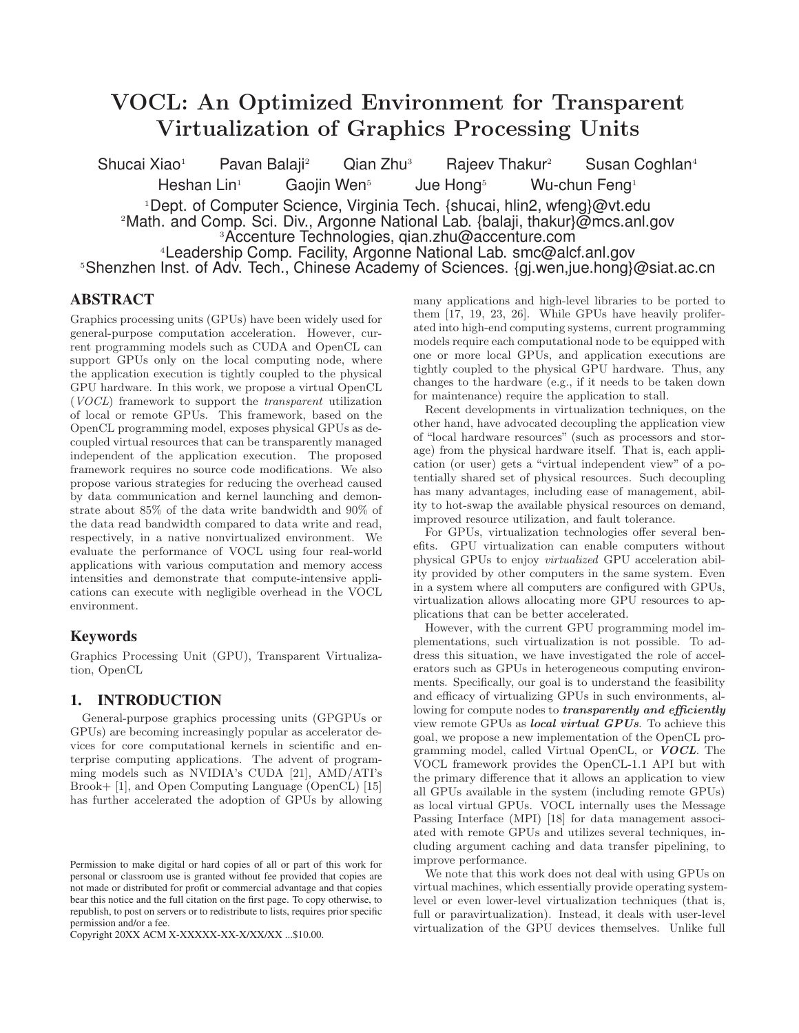# VOCL: An Optimized Environment for Transparent Virtualization of Graphics Processing Units

Shucai Xiao<sup>1</sup> Pavan Balaji<sup>2</sup> Qian Zhu<sup>3</sup> Rajeev Thakur<sup>2</sup> Susan Coghlan<sup>4</sup> Heshan Lin<sup>1</sup> Gaojin Wen<sup>5</sup> Jue Hong<sup>5</sup> Wu-chun Feng<sup>1</sup> <sup>1</sup>Dept. of Computer Science, Virginia Tech. {shucai, hlin2, wfeng}@vt.edu <sup>2</sup>Math. and Comp. Sci. Div., Argonne National Lab. {balaji, thakur}@mcs.anl.gov <sup>3</sup>Accenture Technologies, qian.zhu@accenture.com <sup>4</sup>Leadership Comp. Facility, Argonne National Lab. smc@alcf.anl.gov <sup>5</sup>Shenzhen Inst. of Adv. Tech., Chinese Academy of Sciences. {gj.wen,jue.hong}@siat.ac.cn

# **ABSTRACT**

Graphics processing units (GPUs) have been widely used for general-purpose computation acceleration. However, current programming models such as CUDA and OpenCL can support GPUs only on the local computing node, where the application execution is tightly coupled to the physical GPU hardware. In this work, we propose a virtual OpenCL (VOCL) framework to support the transparent utilization of local or remote GPUs. This framework, based on the OpenCL programming model, exposes physical GPUs as decoupled virtual resources that can be transparently managed independent of the application execution. The proposed framework requires no source code modifications. We also propose various strategies for reducing the overhead caused by data communication and kernel launching and demonstrate about 85% of the data write bandwidth and 90% of the data read bandwidth compared to data write and read, respectively, in a native nonvirtualized environment. We evaluate the performance of VOCL using four real-world applications with various computation and memory access intensities and demonstrate that compute-intensive applications can execute with negligible overhead in the VOCL environment.

# **Keywords**

Graphics Processing Unit (GPU), Transparent Virtualization, OpenCL

# **1. INTRODUCTION**

General-purpose graphics processing units (GPGPUs or GPUs) are becoming increasingly popular as accelerator devices for core computational kernels in scientific and enterprise computing applications. The advent of programming models such as NVIDIA's CUDA [21], AMD/ATI's Brook+ [1], and Open Computing Language (OpenCL) [15] has further accelerated the adoption of GPUs by allowing

Copyright 20XX ACM X-XXXXX-XX-X/XX/XX ...\$10.00.

many applications and high-level libraries to be ported to them [17, 19, 23, 26]. While GPUs have heavily proliferated into high-end computing systems, current programming models require each computational node to be equipped with one or more local GPUs, and application executions are tightly coupled to the physical GPU hardware. Thus, any changes to the hardware (e.g., if it needs to be taken down for maintenance) require the application to stall.

Recent developments in virtualization techniques, on the other hand, have advocated decoupling the application view of "local hardware resources" (such as processors and storage) from the physical hardware itself. That is, each application (or user) gets a "virtual independent view" of a potentially shared set of physical resources. Such decoupling has many advantages, including ease of management, ability to hot-swap the available physical resources on demand, improved resource utilization, and fault tolerance.

For GPUs, virtualization technologies offer several benefits. GPU virtualization can enable computers without physical GPUs to enjoy virtualized GPU acceleration ability provided by other computers in the same system. Even in a system where all computers are configured with GPUs, virtualization allows allocating more GPU resources to applications that can be better accelerated.

However, with the current GPU programming model implementations, such virtualization is not possible. To address this situation, we have investigated the role of accelerators such as GPUs in heterogeneous computing environments. Specifically, our goal is to understand the feasibility and efficacy of virtualizing GPUs in such environments, allowing for compute nodes to *transparently and efficiently* view remote GPUs as local virtual GPUs. To achieve this goal, we propose a new implementation of the OpenCL programming model, called Virtual OpenCL, or VOCL. The VOCL framework provides the OpenCL-1.1 API but with the primary difference that it allows an application to view all GPUs available in the system (including remote GPUs) as local virtual GPUs. VOCL internally uses the Message Passing Interface (MPI) [18] for data management associated with remote GPUs and utilizes several techniques, including argument caching and data transfer pipelining, to improve performance.

We note that this work does not deal with using GPUs on virtual machines, which essentially provide operating systemlevel or even lower-level virtualization techniques (that is, full or paravirtualization). Instead, it deals with user-level virtualization of the GPU devices themselves. Unlike full

Permission to make digital or hard copies of all or part of this work for personal or classroom use is granted without fee provided that copies are not made or distributed for profit or commercial advantage and that copies bear this notice and the full citation on the first page. To copy otherwise, to republish, to post on servers or to redistribute to lists, requires prior specific permission and/or a fee.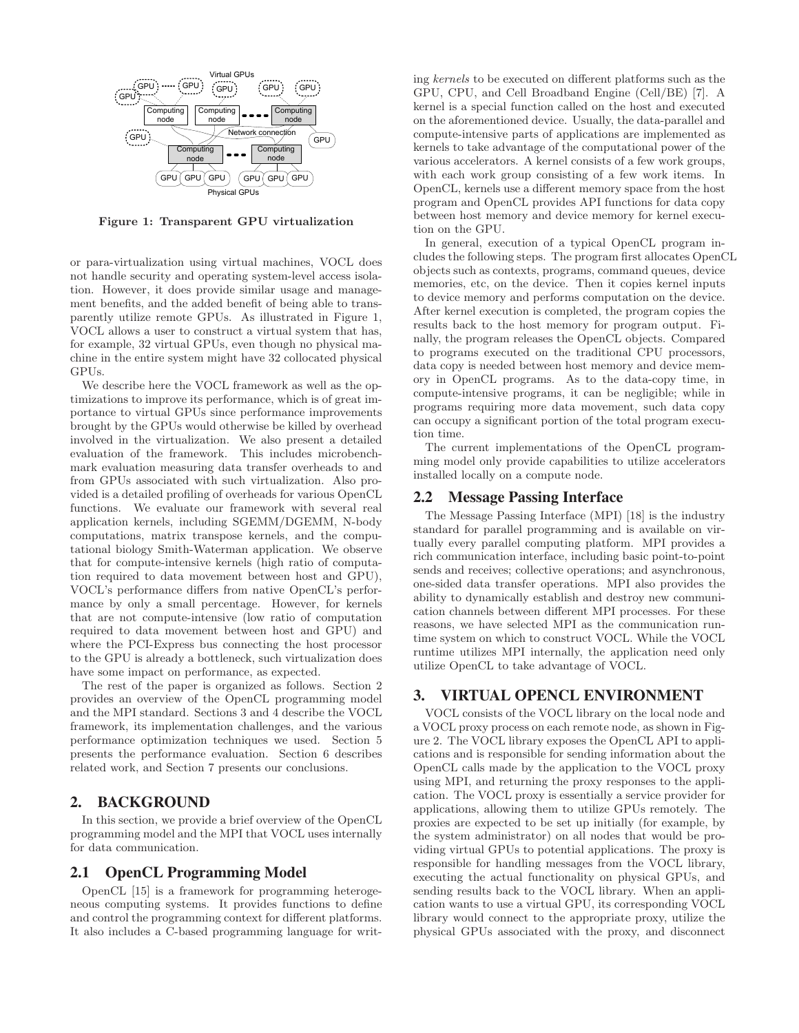

Figure 1: Transparent GPU virtualization

or para-virtualization using virtual machines, VOCL does not handle security and operating system-level access isolation. However, it does provide similar usage and management benefits, and the added benefit of being able to transparently utilize remote GPUs. As illustrated in Figure 1, VOCL allows a user to construct a virtual system that has, for example, 32 virtual GPUs, even though no physical machine in the entire system might have 32 collocated physical GPUs.

We describe here the VOCL framework as well as the optimizations to improve its performance, which is of great importance to virtual GPUs since performance improvements brought by the GPUs would otherwise be killed by overhead involved in the virtualization. We also present a detailed evaluation of the framework. This includes microbenchmark evaluation measuring data transfer overheads to and from GPUs associated with such virtualization. Also provided is a detailed profiling of overheads for various OpenCL functions. We evaluate our framework with several real application kernels, including SGEMM/DGEMM, N-body computations, matrix transpose kernels, and the computational biology Smith-Waterman application. We observe that for compute-intensive kernels (high ratio of computation required to data movement between host and GPU), VOCL's performance differs from native OpenCL's performance by only a small percentage. However, for kernels that are not compute-intensive (low ratio of computation required to data movement between host and GPU) and where the PCI-Express bus connecting the host processor to the GPU is already a bottleneck, such virtualization does have some impact on performance, as expected.

The rest of the paper is organized as follows. Section 2 provides an overview of the OpenCL programming model and the MPI standard. Sections 3 and 4 describe the VOCL framework, its implementation challenges, and the various performance optimization techniques we used. Section 5 presents the performance evaluation. Section 6 describes related work, and Section 7 presents our conclusions.

## **2. BACKGROUND**

In this section, we provide a brief overview of the OpenCL programming model and the MPI that VOCL uses internally for data communication.

#### **2.1 OpenCL Programming Model**

OpenCL [15] is a framework for programming heterogeneous computing systems. It provides functions to define and control the programming context for different platforms. It also includes a C-based programming language for writing kernels to be executed on different platforms such as the GPU, CPU, and Cell Broadband Engine (Cell/BE) [7]. A kernel is a special function called on the host and executed on the aforementioned device. Usually, the data-parallel and compute-intensive parts of applications are implemented as kernels to take advantage of the computational power of the various accelerators. A kernel consists of a few work groups, with each work group consisting of a few work items. In OpenCL, kernels use a different memory space from the host program and OpenCL provides API functions for data copy between host memory and device memory for kernel execution on the GPU.

In general, execution of a typical OpenCL program includes the following steps. The program first allocates OpenCL objects such as contexts, programs, command queues, device memories, etc, on the device. Then it copies kernel inputs to device memory and performs computation on the device. After kernel execution is completed, the program copies the results back to the host memory for program output. Finally, the program releases the OpenCL objects. Compared to programs executed on the traditional CPU processors, data copy is needed between host memory and device memory in OpenCL programs. As to the data-copy time, in compute-intensive programs, it can be negligible; while in programs requiring more data movement, such data copy can occupy a significant portion of the total program execution time.

The current implementations of the OpenCL programming model only provide capabilities to utilize accelerators installed locally on a compute node.

#### **2.2 Message Passing Interface**

The Message Passing Interface (MPI) [18] is the industry standard for parallel programming and is available on virtually every parallel computing platform. MPI provides a rich communication interface, including basic point-to-point sends and receives; collective operations; and asynchronous, one-sided data transfer operations. MPI also provides the ability to dynamically establish and destroy new communication channels between different MPI processes. For these reasons, we have selected MPI as the communication runtime system on which to construct VOCL. While the VOCL runtime utilizes MPI internally, the application need only utilize OpenCL to take advantage of VOCL.

# **3. VIRTUAL OPENCL ENVIRONMENT**

VOCL consists of the VOCL library on the local node and a VOCL proxy process on each remote node, as shown in Figure 2. The VOCL library exposes the OpenCL API to applications and is responsible for sending information about the OpenCL calls made by the application to the VOCL proxy using MPI, and returning the proxy responses to the application. The VOCL proxy is essentially a service provider for applications, allowing them to utilize GPUs remotely. The proxies are expected to be set up initially (for example, by the system administrator) on all nodes that would be providing virtual GPUs to potential applications. The proxy is responsible for handling messages from the VOCL library, executing the actual functionality on physical GPUs, and sending results back to the VOCL library. When an application wants to use a virtual GPU, its corresponding VOCL library would connect to the appropriate proxy, utilize the physical GPUs associated with the proxy, and disconnect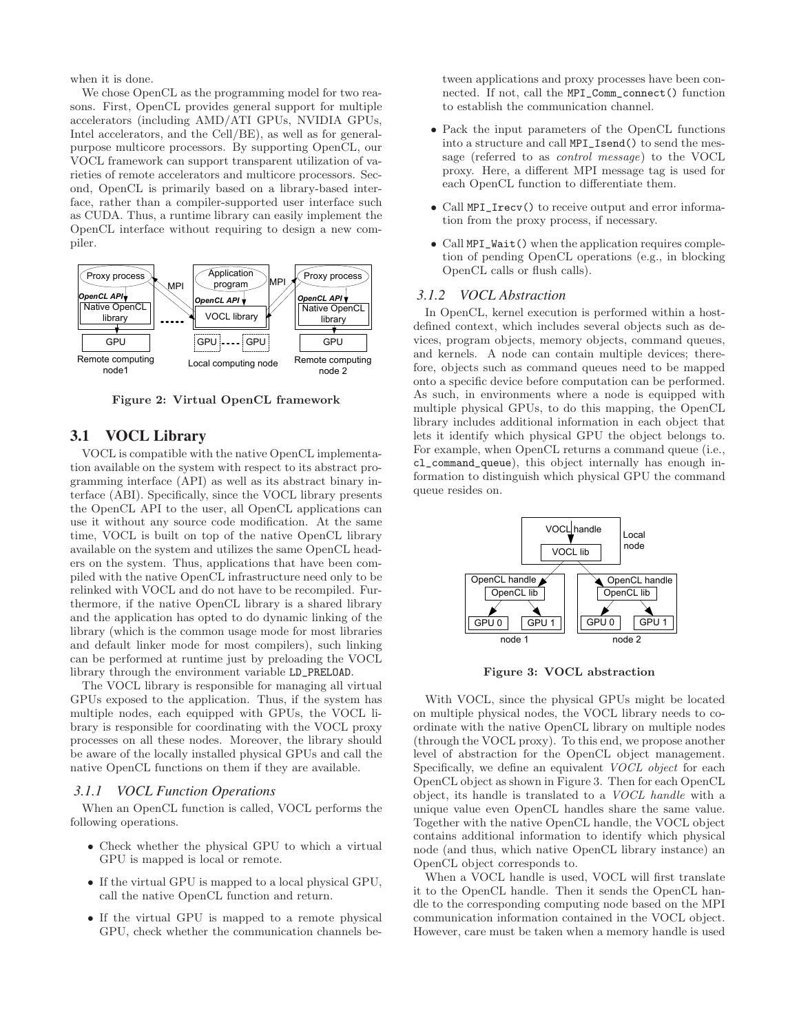when it is done.

We chose OpenCL as the programming model for two reasons. First, OpenCL provides general support for multiple accelerators (including AMD/ATI GPUs, NVIDIA GPUs, Intel accelerators, and the Cell/BE), as well as for generalpurpose multicore processors. By supporting OpenCL, our VOCL framework can support transparent utilization of varieties of remote accelerators and multicore processors. Second, OpenCL is primarily based on a library-based interface, rather than a compiler-supported user interface such as CUDA. Thus, a runtime library can easily implement the OpenCL interface without requiring to design a new compiler.



Figure 2: Virtual OpenCL framework

# **3.1 VOCL Library**

VOCL is compatible with the native OpenCL implementation available on the system with respect to its abstract programming interface (API) as well as its abstract binary interface (ABI). Specifically, since the VOCL library presents the OpenCL API to the user, all OpenCL applications can use it without any source code modification. At the same time, VOCL is built on top of the native OpenCL library available on the system and utilizes the same OpenCL headers on the system. Thus, applications that have been compiled with the native OpenCL infrastructure need only to be relinked with VOCL and do not have to be recompiled. Furthermore, if the native OpenCL library is a shared library and the application has opted to do dynamic linking of the library (which is the common usage mode for most libraries and default linker mode for most compilers), such linking can be performed at runtime just by preloading the VOCL library through the environment variable LD\_PRELOAD.

The VOCL library is responsible for managing all virtual GPUs exposed to the application. Thus, if the system has multiple nodes, each equipped with GPUs, the VOCL library is responsible for coordinating with the VOCL proxy processes on all these nodes. Moreover, the library should be aware of the locally installed physical GPUs and call the native OpenCL functions on them if they are available.

#### *3.1.1 VOCL Function Operations*

When an OpenCL function is called, VOCL performs the following operations.

- Check whether the physical GPU to which a virtual GPU is mapped is local or remote.
- If the virtual GPU is mapped to a local physical GPU, call the native OpenCL function and return.
- If the virtual GPU is mapped to a remote physical GPU, check whether the communication channels be-

tween applications and proxy processes have been connected. If not, call the MPI\_Comm\_connect() function to establish the communication channel.

- Pack the input parameters of the OpenCL functions into a structure and call MPI\_Isend() to send the message (referred to as control message) to the VOCL proxy. Here, a different MPI message tag is used for each OpenCL function to differentiate them.
- Call MPI\_Irecv() to receive output and error information from the proxy process, if necessary.
- Call MPI\_Wait() when the application requires completion of pending OpenCL operations (e.g., in blocking OpenCL calls or flush calls).

#### *3.1.2 VOCL Abstraction*

In OpenCL, kernel execution is performed within a hostdefined context, which includes several objects such as devices, program objects, memory objects, command queues, and kernels. A node can contain multiple devices; therefore, objects such as command queues need to be mapped onto a specific device before computation can be performed. As such, in environments where a node is equipped with multiple physical GPUs, to do this mapping, the OpenCL library includes additional information in each object that lets it identify which physical GPU the object belongs to. For example, when OpenCL returns a command queue (i.e., cl\_command\_queue), this object internally has enough information to distinguish which physical GPU the command queue resides on.



Figure 3: VOCL abstraction

With VOCL, since the physical GPUs might be located on multiple physical nodes, the VOCL library needs to coordinate with the native OpenCL library on multiple nodes (through the VOCL proxy). To this end, we propose another level of abstraction for the OpenCL object management. Specifically, we define an equivalent *VOCL object* for each OpenCL object as shown in Figure 3. Then for each OpenCL object, its handle is translated to a VOCL handle with a unique value even OpenCL handles share the same value. Together with the native OpenCL handle, the VOCL object contains additional information to identify which physical node (and thus, which native OpenCL library instance) an OpenCL object corresponds to.

When a VOCL handle is used, VOCL will first translate it to the OpenCL handle. Then it sends the OpenCL handle to the corresponding computing node based on the MPI communication information contained in the VOCL object. However, care must be taken when a memory handle is used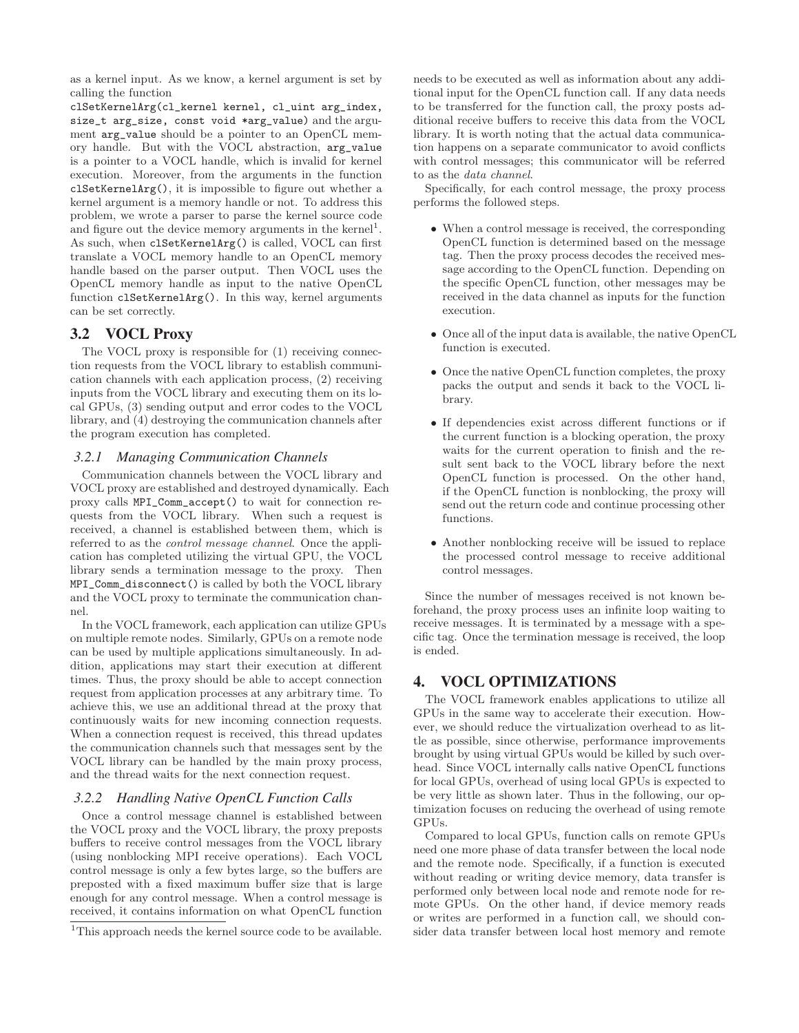as a kernel input. As we know, a kernel argument is set by calling the function

clSetKernelArg(cl\_kernel kernel, cl\_uint arg\_index, size\_t arg\_size, const void \*arg\_value) and the argument arg\_value should be a pointer to an OpenCL memory handle. But with the VOCL abstraction, arg\_value is a pointer to a VOCL handle, which is invalid for kernel execution. Moreover, from the arguments in the function clSetKernelArg(), it is impossible to figure out whether a kernel argument is a memory handle or not. To address this problem, we wrote a parser to parse the kernel source code and figure out the device memory arguments in the kernel<sup>1</sup>. As such, when clSetKernelArg() is called, VOCL can first translate a VOCL memory handle to an OpenCL memory handle based on the parser output. Then VOCL uses the OpenCL memory handle as input to the native OpenCL function clSetKernelArg(). In this way, kernel arguments can be set correctly.

# **3.2 VOCL Proxy**

The VOCL proxy is responsible for (1) receiving connection requests from the VOCL library to establish communication channels with each application process, (2) receiving inputs from the VOCL library and executing them on its local GPUs, (3) sending output and error codes to the VOCL library, and (4) destroying the communication channels after the program execution has completed.

#### *3.2.1 Managing Communication Channels*

Communication channels between the VOCL library and VOCL proxy are established and destroyed dynamically. Each proxy calls MPI\_Comm\_accept() to wait for connection requests from the VOCL library. When such a request is received, a channel is established between them, which is referred to as the control message channel. Once the application has completed utilizing the virtual GPU, the VOCL library sends a termination message to the proxy. Then MPI\_Comm\_disconnect() is called by both the VOCL library and the VOCL proxy to terminate the communication channel.

In the VOCL framework, each application can utilize GPUs on multiple remote nodes. Similarly, GPUs on a remote node can be used by multiple applications simultaneously. In addition, applications may start their execution at different times. Thus, the proxy should be able to accept connection request from application processes at any arbitrary time. To achieve this, we use an additional thread at the proxy that continuously waits for new incoming connection requests. When a connection request is received, this thread updates the communication channels such that messages sent by the VOCL library can be handled by the main proxy process, and the thread waits for the next connection request.

#### *3.2.2 Handling Native OpenCL Function Calls*

Once a control message channel is established between the VOCL proxy and the VOCL library, the proxy preposts buffers to receive control messages from the VOCL library (using nonblocking MPI receive operations). Each VOCL control message is only a few bytes large, so the buffers are preposted with a fixed maximum buffer size that is large enough for any control message. When a control message is received, it contains information on what OpenCL function needs to be executed as well as information about any additional input for the OpenCL function call. If any data needs to be transferred for the function call, the proxy posts additional receive buffers to receive this data from the VOCL library. It is worth noting that the actual data communication happens on a separate communicator to avoid conflicts with control messages; this communicator will be referred to as the data channel.

Specifically, for each control message, the proxy process performs the followed steps.

- When a control message is received, the corresponding OpenCL function is determined based on the message tag. Then the proxy process decodes the received message according to the OpenCL function. Depending on the specific OpenCL function, other messages may be received in the data channel as inputs for the function execution.
- Once all of the input data is available, the native OpenCL function is executed.
- Once the native OpenCL function completes, the proxy packs the output and sends it back to the VOCL library.
- If dependencies exist across different functions or if the current function is a blocking operation, the proxy waits for the current operation to finish and the result sent back to the VOCL library before the next OpenCL function is processed. On the other hand, if the OpenCL function is nonblocking, the proxy will send out the return code and continue processing other functions.
- Another nonblocking receive will be issued to replace the processed control message to receive additional control messages.

Since the number of messages received is not known beforehand, the proxy process uses an infinite loop waiting to receive messages. It is terminated by a message with a specific tag. Once the termination message is received, the loop is ended.

# **4. VOCL OPTIMIZATIONS**

The VOCL framework enables applications to utilize all GPUs in the same way to accelerate their execution. However, we should reduce the virtualization overhead to as little as possible, since otherwise, performance improvements brought by using virtual GPUs would be killed by such overhead. Since VOCL internally calls native OpenCL functions for local GPUs, overhead of using local GPUs is expected to be very little as shown later. Thus in the following, our optimization focuses on reducing the overhead of using remote GPUs.

Compared to local GPUs, function calls on remote GPUs need one more phase of data transfer between the local node and the remote node. Specifically, if a function is executed without reading or writing device memory, data transfer is performed only between local node and remote node for remote GPUs. On the other hand, if device memory reads or writes are performed in a function call, we should consider data transfer between local host memory and remote

<sup>&</sup>lt;sup>1</sup>This approach needs the kernel source code to be available.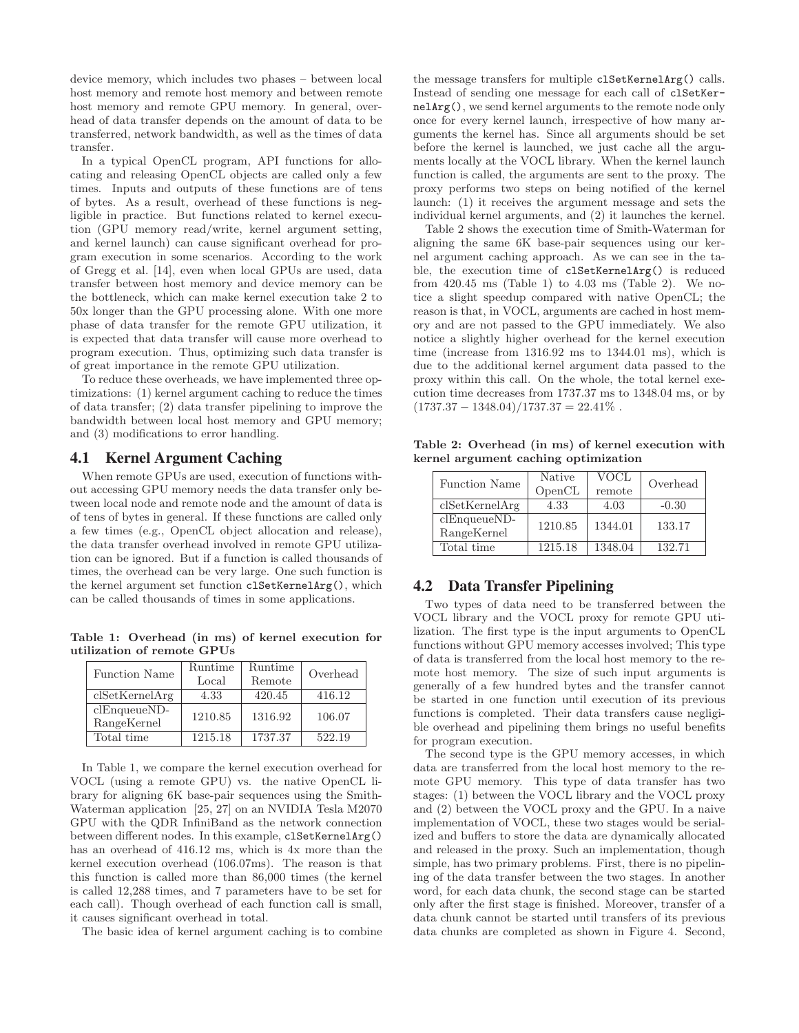device memory, which includes two phases – between local host memory and remote host memory and between remote host memory and remote GPU memory. In general, overhead of data transfer depends on the amount of data to be transferred, network bandwidth, as well as the times of data transfer.

In a typical OpenCL program, API functions for allocating and releasing OpenCL objects are called only a few times. Inputs and outputs of these functions are of tens of bytes. As a result, overhead of these functions is negligible in practice. But functions related to kernel execution (GPU memory read/write, kernel argument setting, and kernel launch) can cause significant overhead for program execution in some scenarios. According to the work of Gregg et al. [14], even when local GPUs are used, data transfer between host memory and device memory can be the bottleneck, which can make kernel execution take 2 to 50x longer than the GPU processing alone. With one more phase of data transfer for the remote GPU utilization, it is expected that data transfer will cause more overhead to program execution. Thus, optimizing such data transfer is of great importance in the remote GPU utilization.

To reduce these overheads, we have implemented three optimizations: (1) kernel argument caching to reduce the times of data transfer; (2) data transfer pipelining to improve the bandwidth between local host memory and GPU memory; and (3) modifications to error handling.

# **4.1 Kernel Argument Caching**

When remote GPUs are used, execution of functions without accessing GPU memory needs the data transfer only between local node and remote node and the amount of data is of tens of bytes in general. If these functions are called only a few times (e.g., OpenCL object allocation and release), the data transfer overhead involved in remote GPU utilization can be ignored. But if a function is called thousands of times, the overhead can be very large. One such function is the kernel argument set function clSetKernelArg(), which can be called thousands of times in some applications.

Table 1: Overhead (in ms) of kernel execution for utilization of remote GPUs

| <b>Function Name</b>          | Runtime<br>Local | Runtime<br>Remote | Overhead |
|-------------------------------|------------------|-------------------|----------|
| clSetKernelArg                | 4.33             | 420.45            | 416.12   |
| $clEnqueueND-$<br>RangeKernel | 1210.85          | 1316.92           | 106.07   |
| Total time                    | 1215.18          | 1737.37           | 522.19   |

In Table 1, we compare the kernel execution overhead for VOCL (using a remote GPU) vs. the native OpenCL library for aligning 6K base-pair sequences using the Smith-Waterman application [25, 27] on an NVIDIA Tesla M2070 GPU with the QDR InfiniBand as the network connection between different nodes. In this example, clSetKernelArg() has an overhead of 416.12 ms, which is 4x more than the kernel execution overhead (106.07ms). The reason is that this function is called more than 86,000 times (the kernel is called 12,288 times, and 7 parameters have to be set for each call). Though overhead of each function call is small, it causes significant overhead in total.

The basic idea of kernel argument caching is to combine

the message transfers for multiple clSetKernelArg() calls. Instead of sending one message for each call of clSetKernelArg(), we send kernel arguments to the remote node only once for every kernel launch, irrespective of how many arguments the kernel has. Since all arguments should be set before the kernel is launched, we just cache all the arguments locally at the VOCL library. When the kernel launch function is called, the arguments are sent to the proxy. The proxy performs two steps on being notified of the kernel launch: (1) it receives the argument message and sets the individual kernel arguments, and (2) it launches the kernel.

Table 2 shows the execution time of Smith-Waterman for aligning the same 6K base-pair sequences using our kernel argument caching approach. As we can see in the table, the execution time of clSetKernelArg() is reduced from 420.45 ms (Table 1) to 4.03 ms (Table 2). We notice a slight speedup compared with native OpenCL; the reason is that, in VOCL, arguments are cached in host memory and are not passed to the GPU immediately. We also notice a slightly higher overhead for the kernel execution time (increase from 1316.92 ms to 1344.01 ms), which is due to the additional kernel argument data passed to the proxy within this call. On the whole, the total kernel execution time decreases from 1737.37 ms to 1348.04 ms, or by  $(1737.37 - 1348.04)/1737.37 = 22.41\%$ .

Table 2: Overhead (in ms) of kernel execution with kernel argument caching optimization

| <b>Function Name</b>            | Native<br>OpenCL | <b>VOCL</b><br>remote | Overhead |
|---------------------------------|------------------|-----------------------|----------|
| clSetKernelArg                  | 4.33             | 4.03                  | $-0.30$  |
| $clEnqueue N$ D-<br>RangeKernel | 1210.85          | 1344.01               | 133.17   |
| Total time                      | 1215.18          | 1348.04               | 132.71   |

## **4.2 Data Transfer Pipelining**

Two types of data need to be transferred between the VOCL library and the VOCL proxy for remote GPU utilization. The first type is the input arguments to OpenCL functions without GPU memory accesses involved; This type of data is transferred from the local host memory to the remote host memory. The size of such input arguments is generally of a few hundred bytes and the transfer cannot be started in one function until execution of its previous functions is completed. Their data transfers cause negligible overhead and pipelining them brings no useful benefits for program execution.

The second type is the GPU memory accesses, in which data are transferred from the local host memory to the remote GPU memory. This type of data transfer has two stages: (1) between the VOCL library and the VOCL proxy and (2) between the VOCL proxy and the GPU. In a naive implementation of VOCL, these two stages would be serialized and buffers to store the data are dynamically allocated and released in the proxy. Such an implementation, though simple, has two primary problems. First, there is no pipelining of the data transfer between the two stages. In another word, for each data chunk, the second stage can be started only after the first stage is finished. Moreover, transfer of a data chunk cannot be started until transfers of its previous data chunks are completed as shown in Figure 4. Second,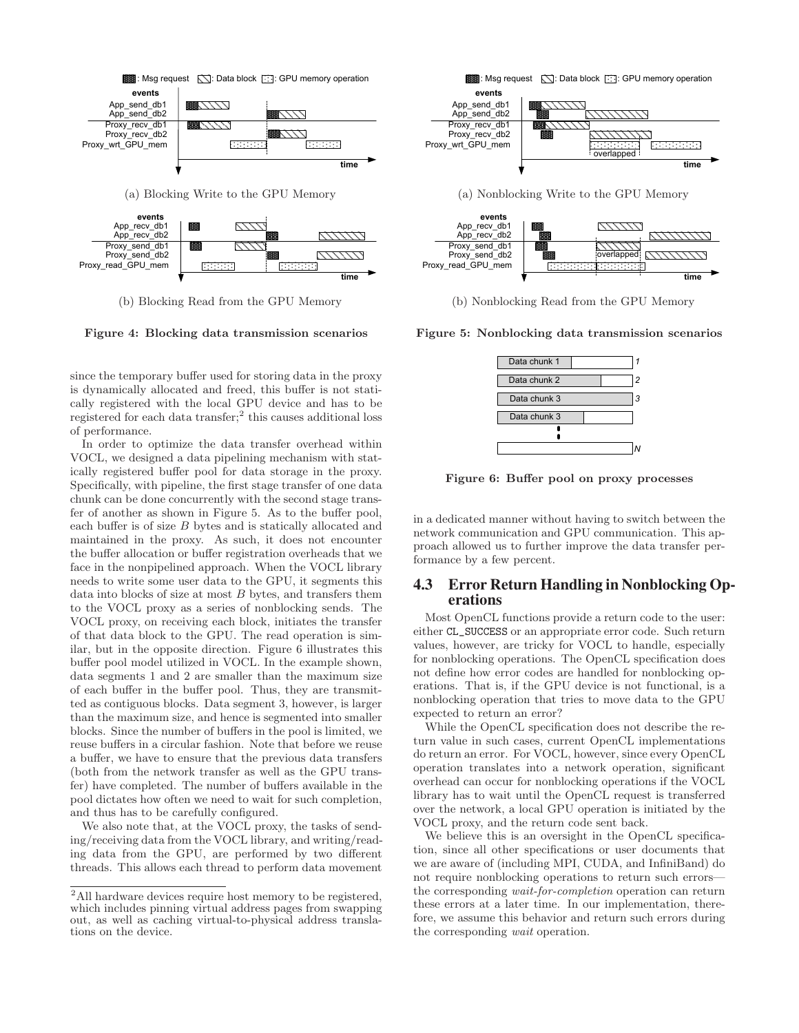

(a) Blocking Write to the GPU Memory



(b) Blocking Read from the GPU Memory

Figure 4: Blocking data transmission scenarios

since the temporary buffer used for storing data in the proxy is dynamically allocated and freed, this buffer is not statically registered with the local GPU device and has to be registered for each data transfer;<sup>2</sup> this causes additional loss of performance.

In order to optimize the data transfer overhead within VOCL, we designed a data pipelining mechanism with statically registered buffer pool for data storage in the proxy. Specifically, with pipeline, the first stage transfer of one data chunk can be done concurrently with the second stage transfer of another as shown in Figure 5. As to the buffer pool, each buffer is of size B bytes and is statically allocated and maintained in the proxy. As such, it does not encounter the buffer allocation or buffer registration overheads that we face in the nonpipelined approach. When the VOCL library needs to write some user data to the GPU, it segments this data into blocks of size at most  $B$  bytes, and transfers them to the VOCL proxy as a series of nonblocking sends. The VOCL proxy, on receiving each block, initiates the transfer of that data block to the GPU. The read operation is similar, but in the opposite direction. Figure 6 illustrates this buffer pool model utilized in VOCL. In the example shown, data segments 1 and 2 are smaller than the maximum size of each buffer in the buffer pool. Thus, they are transmitted as contiguous blocks. Data segment 3, however, is larger than the maximum size, and hence is segmented into smaller blocks. Since the number of buffers in the pool is limited, we reuse buffers in a circular fashion. Note that before we reuse a buffer, we have to ensure that the previous data transfers (both from the network transfer as well as the GPU transfer) have completed. The number of buffers available in the pool dictates how often we need to wait for such completion, and thus has to be carefully configured.

We also note that, at the VOCL proxy, the tasks of sending/receiving data from the VOCL library, and writing/reading data from the GPU, are performed by two different threads. This allows each thread to perform data movement





(b) Nonblocking Read from the GPU Memory

Figure 5: Nonblocking data transmission scenarios



Figure 6: Buffer pool on proxy processes

in a dedicated manner without having to switch between the network communication and GPU communication. This approach allowed us to further improve the data transfer performance by a few percent.

## **4.3 Error Return Handling in Nonblocking Operations**

Most OpenCL functions provide a return code to the user: either CL\_SUCCESS or an appropriate error code. Such return values, however, are tricky for VOCL to handle, especially for nonblocking operations. The OpenCL specification does not define how error codes are handled for nonblocking operations. That is, if the GPU device is not functional, is a nonblocking operation that tries to move data to the GPU expected to return an error?

While the OpenCL specification does not describe the return value in such cases, current OpenCL implementations do return an error. For VOCL, however, since every OpenCL operation translates into a network operation, significant overhead can occur for nonblocking operations if the VOCL library has to wait until the OpenCL request is transferred over the network, a local GPU operation is initiated by the VOCL proxy, and the return code sent back.

We believe this is an oversight in the OpenCL specification, since all other specifications or user documents that we are aware of (including MPI, CUDA, and InfiniBand) do not require nonblocking operations to return such errors the corresponding wait-for-completion operation can return these errors at a later time. In our implementation, therefore, we assume this behavior and return such errors during the corresponding wait operation.

 $^2\mbox{All}$  hardware devices require host memory to be registered, which includes pinning virtual address pages from swapping out, as well as caching virtual-to-physical address translations on the device.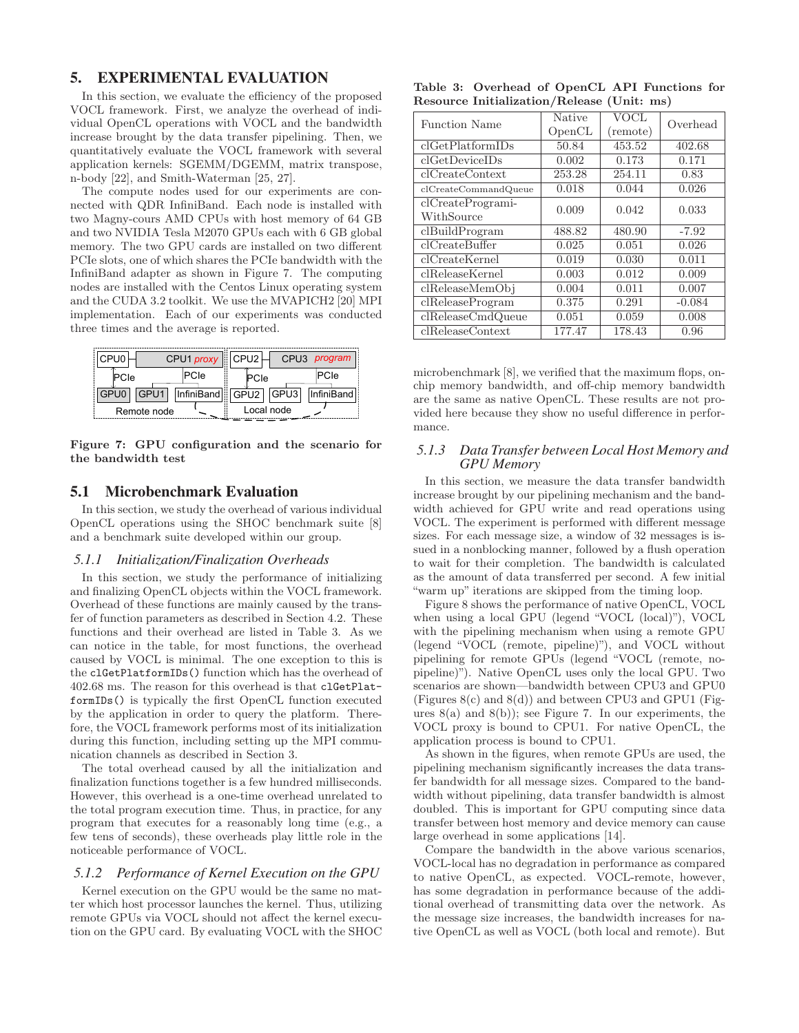# **5. EXPERIMENTAL EVALUATION**

In this section, we evaluate the efficiency of the proposed VOCL framework. First, we analyze the overhead of individual OpenCL operations with VOCL and the bandwidth increase brought by the data transfer pipelining. Then, we quantitatively evaluate the VOCL framework with several application kernels: SGEMM/DGEMM, matrix transpose, n-body [22], and Smith-Waterman [25, 27].

The compute nodes used for our experiments are connected with QDR InfiniBand. Each node is installed with two Magny-cours AMD CPUs with host memory of 64 GB and two NVIDIA Tesla M2070 GPUs each with 6 GB global memory. The two GPU cards are installed on two different PCIe slots, one of which shares the PCIe bandwidth with the InfiniBand adapter as shown in Figure 7. The computing nodes are installed with the Centos Linux operating system and the CUDA 3.2 toolkit. We use the MVAPICH2 [20] MPI implementation. Each of our experiments was conducted three times and the average is reported.

| CPU0 |             | CPU1 proxy   CPU2    |            |  | CPU3 <i>program</i> |  |
|------|-------------|----------------------|------------|--|---------------------|--|
| PCIe |             | PCIe                 | PCIe       |  | IPCIe               |  |
| GPU0 | GPU1        | InfiniBand GPU2 GPU3 |            |  | InfiniBand          |  |
|      | Remote node |                      | Local node |  |                     |  |

Figure 7: GPU configuration and the scenario for the bandwidth test

## **5.1 Microbenchmark Evaluation**

In this section, we study the overhead of various individual OpenCL operations using the SHOC benchmark suite [8] and a benchmark suite developed within our group.

#### *5.1.1 Initialization/Finalization Overheads*

In this section, we study the performance of initializing and finalizing OpenCL objects within the VOCL framework. Overhead of these functions are mainly caused by the transfer of function parameters as described in Section 4.2. These functions and their overhead are listed in Table 3. As we can notice in the table, for most functions, the overhead caused by VOCL is minimal. The one exception to this is the clGetPlatformIDs() function which has the overhead of 402.68 ms. The reason for this overhead is that clGetPlatformIDs() is typically the first OpenCL function executed by the application in order to query the platform. Therefore, the VOCL framework performs most of its initialization during this function, including setting up the MPI communication channels as described in Section 3.

The total overhead caused by all the initialization and finalization functions together is a few hundred milliseconds. However, this overhead is a one-time overhead unrelated to the total program execution time. Thus, in practice, for any program that executes for a reasonably long time (e.g., a few tens of seconds), these overheads play little role in the noticeable performance of VOCL.

#### *5.1.2 Performance of Kernel Execution on the GPU*

Kernel execution on the GPU would be the same no matter which host processor launches the kernel. Thus, utilizing remote GPUs via VOCL should not affect the kernel execution on the GPU card. By evaluating VOCL with the SHOC

Table 3: Overhead of OpenCL API Functions for Resource Initialization/Release (Unit: ms)

| <b>Function Name</b>              | <b>Native</b><br>OpenCL | VOCL<br>(remote) | Overhead |
|-----------------------------------|-------------------------|------------------|----------|
| clGetPlatformIDs                  | 50.84                   | 453.52           | 402.68   |
| clGetDeviceIDs                    | 0.002                   | 0.173            | 0.171    |
| clCreateContext                   | 253.28                  | 254.11           | 0.83     |
| clCreateCommandQueue              | 0.018                   | 0.044            | 0.026    |
| $clCreateProgrami-$<br>WithSource | 0.009                   | 0.042            | 0.033    |
| $cl$ BuildProgram                 | 488.82                  | 480.90           | $-7.92$  |
| clCreateBuffer                    | 0.025                   | 0.051            | 0.026    |
| clCreateKernel                    | 0.019                   | 0.030            | 0.011    |
| clReleaseKernel                   | 0.003                   | 0.012            | 0.009    |
| clReleaseMemObj                   | 0.004                   | 0.011            | 0.007    |
| clReleaseProgram                  | 0.375                   | 0.291            | $-0.084$ |
| clReleaseCmdQueue                 | 0.051                   | 0.059            | 0.008    |
| clReleaseContext                  | 177.47                  | 178.43           | 0.96     |

microbenchmark [8], we verified that the maximum flops, onchip memory bandwidth, and off-chip memory bandwidth are the same as native OpenCL. These results are not provided here because they show no useful difference in performance.

## *5.1.3 Data Transfer between Local Host Memory and GPU Memory*

In this section, we measure the data transfer bandwidth increase brought by our pipelining mechanism and the bandwidth achieved for GPU write and read operations using VOCL. The experiment is performed with different message sizes. For each message size, a window of 32 messages is issued in a nonblocking manner, followed by a flush operation to wait for their completion. The bandwidth is calculated as the amount of data transferred per second. A few initial "warm up" iterations are skipped from the timing loop.

Figure 8 shows the performance of native OpenCL, VOCL when using a local GPU (legend "VOCL (local)"), VOCL with the pipelining mechanism when using a remote GPU (legend "VOCL (remote, pipeline)"), and VOCL without pipelining for remote GPUs (legend "VOCL (remote, nopipeline)"). Native OpenCL uses only the local GPU. Two scenarios are shown—bandwidth between CPU3 and GPU0 (Figures  $8(c)$  and  $8(d)$ ) and between CPU3 and GPU1 (Figures  $8(a)$  and  $8(b)$ ; see Figure 7. In our experiments, the VOCL proxy is bound to CPU1. For native OpenCL, the application process is bound to CPU1.

As shown in the figures, when remote GPUs are used, the pipelining mechanism significantly increases the data transfer bandwidth for all message sizes. Compared to the bandwidth without pipelining, data transfer bandwidth is almost doubled. This is important for GPU computing since data transfer between host memory and device memory can cause large overhead in some applications [14].

Compare the bandwidth in the above various scenarios, VOCL-local has no degradation in performance as compared to native OpenCL, as expected. VOCL-remote, however, has some degradation in performance because of the additional overhead of transmitting data over the network. As the message size increases, the bandwidth increases for native OpenCL as well as VOCL (both local and remote). But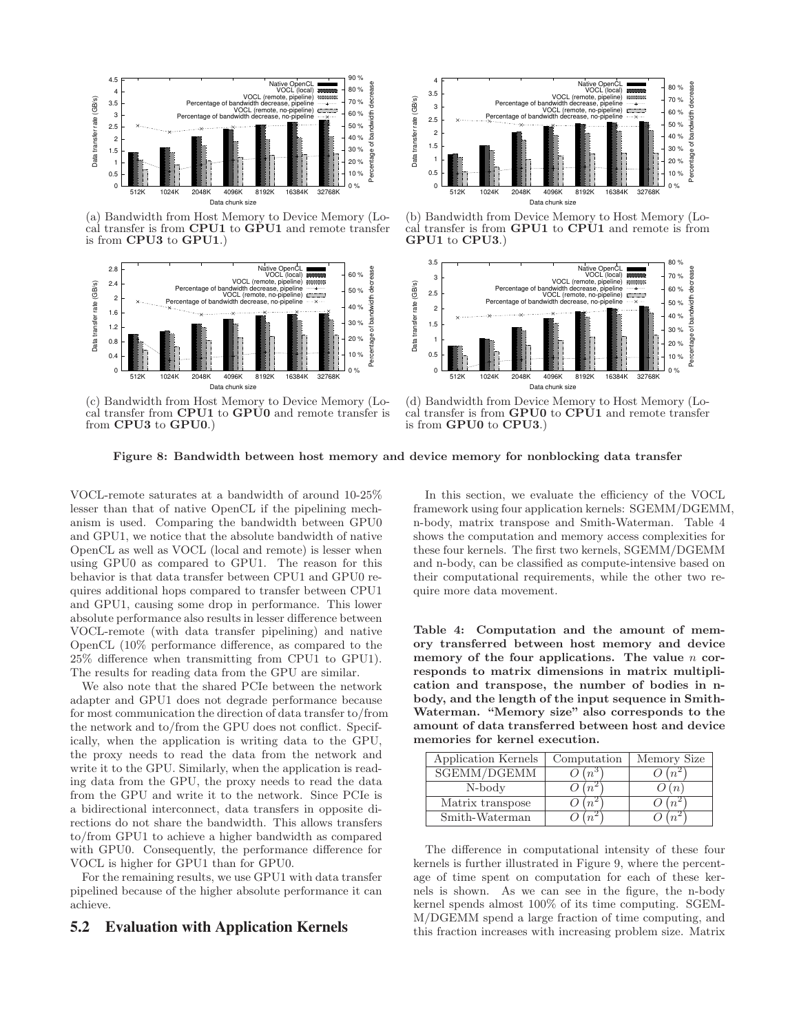

(a) Bandwidth from Host Memory to Device Memory (Local transfer is from CPU1 to GPU1 and remote transfer is from CPU3 to GPU1.)



(c) Bandwidth from Host Memory to Device Memory (Local transfer from **CPU1** to **GPU0** and remote transfer is from CPU3 to GPU0.)



(b) Bandwidth from Device Memory to Host Memory (Local transfer is from GPU1 to CPU1 and remote is from GPU1 to CPU3.)



(d) Bandwidth from Device Memory to Host Memory (Local transfer is from GPU0 to CPU1 and remote transfer is from GPU0 to CPU3.)

Figure 8: Bandwidth between host memory and device memory for nonblocking data transfer

VOCL-remote saturates at a bandwidth of around 10-25% lesser than that of native OpenCL if the pipelining mechanism is used. Comparing the bandwidth between GPU0 and GPU1, we notice that the absolute bandwidth of native OpenCL as well as VOCL (local and remote) is lesser when using GPU0 as compared to GPU1. The reason for this behavior is that data transfer between CPU1 and GPU0 requires additional hops compared to transfer between CPU1 and GPU1, causing some drop in performance. This lower absolute performance also results in lesser difference between VOCL-remote (with data transfer pipelining) and native OpenCL (10% performance difference, as compared to the 25% difference when transmitting from CPU1 to GPU1). The results for reading data from the GPU are similar.

We also note that the shared PCIe between the network adapter and GPU1 does not degrade performance because for most communication the direction of data transfer to/from the network and to/from the GPU does not conflict. Specifically, when the application is writing data to the GPU, the proxy needs to read the data from the network and write it to the GPU. Similarly, when the application is reading data from the GPU, the proxy needs to read the data from the GPU and write it to the network. Since PCIe is a bidirectional interconnect, data transfers in opposite directions do not share the bandwidth. This allows transfers to/from GPU1 to achieve a higher bandwidth as compared with GPU0. Consequently, the performance difference for VOCL is higher for GPU1 than for GPU0.

For the remaining results, we use GPU1 with data transfer pipelined because of the higher absolute performance it can achieve.

## **5.2 Evaluation with Application Kernels**

In this section, we evaluate the efficiency of the VOCL framework using four application kernels: SGEMM/DGEMM, n-body, matrix transpose and Smith-Waterman. Table 4 shows the computation and memory access complexities for these four kernels. The first two kernels, SGEMM/DGEMM and n-body, can be classified as compute-intensive based on their computational requirements, while the other two require more data movement.

Table 4: Computation and the amount of memory transferred between host memory and device memory of the four applications. The value  $n$  corresponds to matrix dimensions in matrix multiplication and transpose, the number of bodies in nbody, and the length of the input sequence in Smith-Waterman. "Memory size" also corresponds to the amount of data transferred between host and device memories for kernel execution.

| Application Kernels | Computation | Memory Size |
|---------------------|-------------|-------------|
| SGEMM/DGEMM         |             |             |
| N-body              |             |             |
| Matrix transpose    |             |             |
| Smith-Waterman      |             |             |

The difference in computational intensity of these four kernels is further illustrated in Figure 9, where the percentage of time spent on computation for each of these kernels is shown. As we can see in the figure, the n-body kernel spends almost 100% of its time computing. SGEM-M/DGEMM spend a large fraction of time computing, and this fraction increases with increasing problem size. Matrix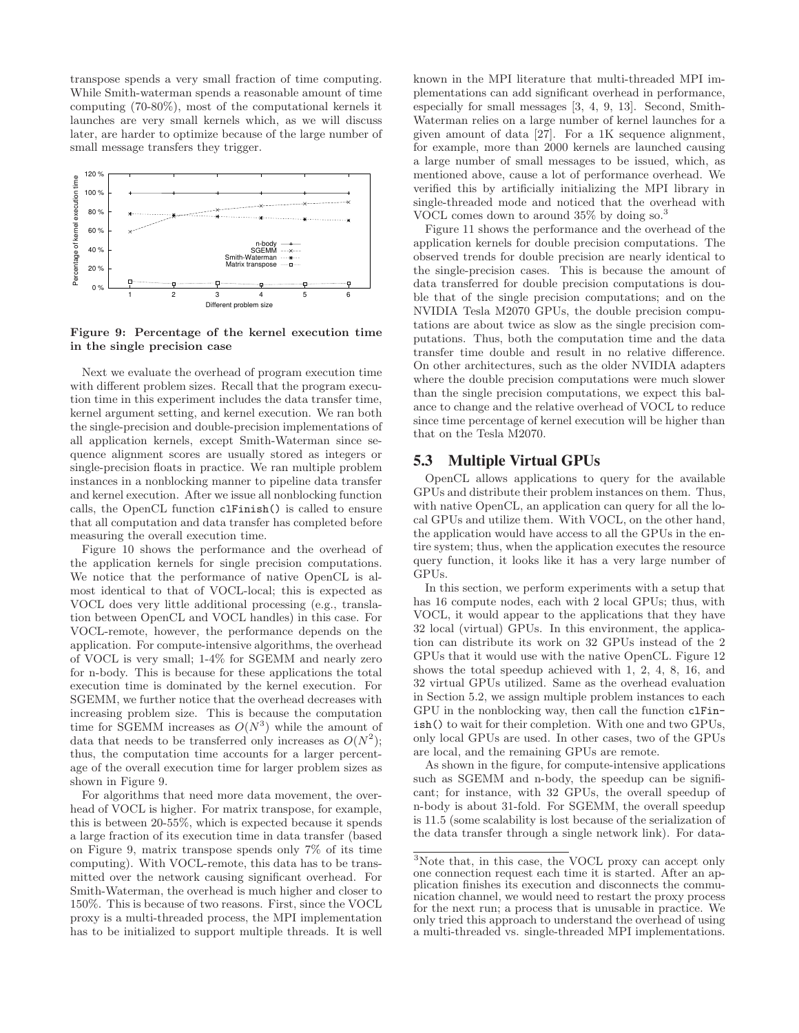transpose spends a very small fraction of time computing. While Smith-waterman spends a reasonable amount of time computing (70-80%), most of the computational kernels it launches are very small kernels which, as we will discuss later, are harder to optimize because of the large number of small message transfers they trigger.



Figure 9: Percentage of the kernel execution time in the single precision case

Next we evaluate the overhead of program execution time with different problem sizes. Recall that the program execution time in this experiment includes the data transfer time, kernel argument setting, and kernel execution. We ran both the single-precision and double-precision implementations of all application kernels, except Smith-Waterman since sequence alignment scores are usually stored as integers or single-precision floats in practice. We ran multiple problem instances in a nonblocking manner to pipeline data transfer and kernel execution. After we issue all nonblocking function calls, the OpenCL function clFinish() is called to ensure that all computation and data transfer has completed before measuring the overall execution time.

Figure 10 shows the performance and the overhead of the application kernels for single precision computations. We notice that the performance of native OpenCL is almost identical to that of VOCL-local; this is expected as VOCL does very little additional processing (e.g., translation between OpenCL and VOCL handles) in this case. For VOCL-remote, however, the performance depends on the application. For compute-intensive algorithms, the overhead of VOCL is very small; 1-4% for SGEMM and nearly zero for n-body. This is because for these applications the total execution time is dominated by the kernel execution. For SGEMM, we further notice that the overhead decreases with increasing problem size. This is because the computation time for SGEMM increases as  $O(N^3)$  while the amount of data that needs to be transferred only increases as  $O(N^2)$ ; thus, the computation time accounts for a larger percentage of the overall execution time for larger problem sizes as shown in Figure 9.

For algorithms that need more data movement, the overhead of VOCL is higher. For matrix transpose, for example, this is between 20-55%, which is expected because it spends a large fraction of its execution time in data transfer (based on Figure 9, matrix transpose spends only 7% of its time computing). With VOCL-remote, this data has to be transmitted over the network causing significant overhead. For Smith-Waterman, the overhead is much higher and closer to 150%. This is because of two reasons. First, since the VOCL proxy is a multi-threaded process, the MPI implementation has to be initialized to support multiple threads. It is well known in the MPI literature that multi-threaded MPI implementations can add significant overhead in performance, especially for small messages [3, 4, 9, 13]. Second, Smith-Waterman relies on a large number of kernel launches for a given amount of data [27]. For a 1K sequence alignment, for example, more than 2000 kernels are launched causing a large number of small messages to be issued, which, as mentioned above, cause a lot of performance overhead. We verified this by artificially initializing the MPI library in single-threaded mode and noticed that the overhead with VOCL comes down to around 35% by doing so.<sup>3</sup>

Figure 11 shows the performance and the overhead of the application kernels for double precision computations. The observed trends for double precision are nearly identical to the single-precision cases. This is because the amount of data transferred for double precision computations is double that of the single precision computations; and on the NVIDIA Tesla M2070 GPUs, the double precision computations are about twice as slow as the single precision computations. Thus, both the computation time and the data transfer time double and result in no relative difference. On other architectures, such as the older NVIDIA adapters where the double precision computations were much slower than the single precision computations, we expect this balance to change and the relative overhead of VOCL to reduce since time percentage of kernel execution will be higher than that on the Tesla M2070.

# **5.3 Multiple Virtual GPUs**

OpenCL allows applications to query for the available GPUs and distribute their problem instances on them. Thus, with native OpenCL, an application can query for all the local GPUs and utilize them. With VOCL, on the other hand, the application would have access to all the GPUs in the entire system; thus, when the application executes the resource query function, it looks like it has a very large number of GPUs.

In this section, we perform experiments with a setup that has 16 compute nodes, each with 2 local GPUs; thus, with VOCL, it would appear to the applications that they have 32 local (virtual) GPUs. In this environment, the application can distribute its work on 32 GPUs instead of the 2 GPUs that it would use with the native OpenCL. Figure 12 shows the total speedup achieved with 1, 2, 4, 8, 16, and 32 virtual GPUs utilized. Same as the overhead evaluation in Section 5.2, we assign multiple problem instances to each GPU in the nonblocking way, then call the function clFinish() to wait for their completion. With one and two GPUs, only local GPUs are used. In other cases, two of the GPUs are local, and the remaining GPUs are remote.

As shown in the figure, for compute-intensive applications such as SGEMM and n-body, the speedup can be significant; for instance, with 32 GPUs, the overall speedup of n-body is about 31-fold. For SGEMM, the overall speedup is 11.5 (some scalability is lost because of the serialization of the data transfer through a single network link). For data-

<sup>3</sup>Note that, in this case, the VOCL proxy can accept only one connection request each time it is started. After an application finishes its execution and disconnects the communication channel, we would need to restart the proxy process for the next run; a process that is unusable in practice. We only tried this approach to understand the overhead of using a multi-threaded vs. single-threaded MPI implementations.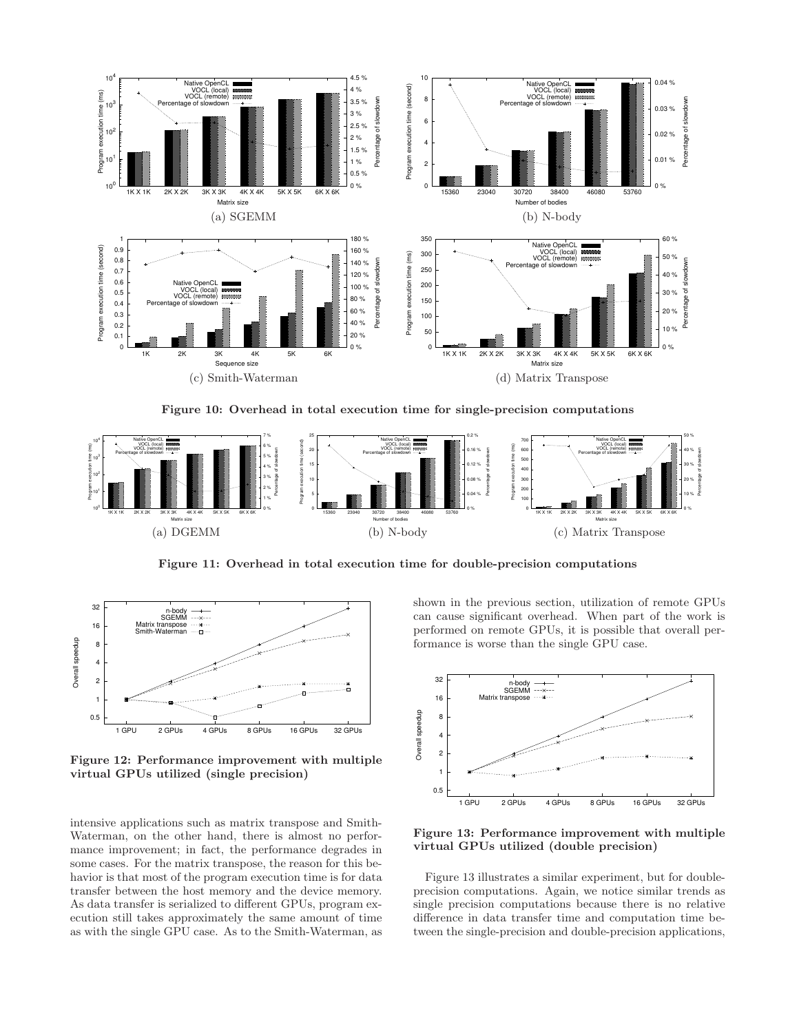

Figure 10: Overhead in total execution time for single-precision computations



Figure 11: Overhead in total execution time for double-precision computations



Figure 12: Performance improvement with multiple virtual GPUs utilized (single precision)

intensive applications such as matrix transpose and Smith-Waterman, on the other hand, there is almost no performance improvement; in fact, the performance degrades in some cases. For the matrix transpose, the reason for this behavior is that most of the program execution time is for data transfer between the host memory and the device memory. As data transfer is serialized to different GPUs, program execution still takes approximately the same amount of time as with the single GPU case. As to the Smith-Waterman, as shown in the previous section, utilization of remote GPUs can cause significant overhead. When part of the work is performed on remote GPUs, it is possible that overall performance is worse than the single GPU case.



Figure 13: Performance improvement with multiple virtual GPUs utilized (double precision)

Figure 13 illustrates a similar experiment, but for doubleprecision computations. Again, we notice similar trends as single precision computations because there is no relative difference in data transfer time and computation time between the single-precision and double-precision applications,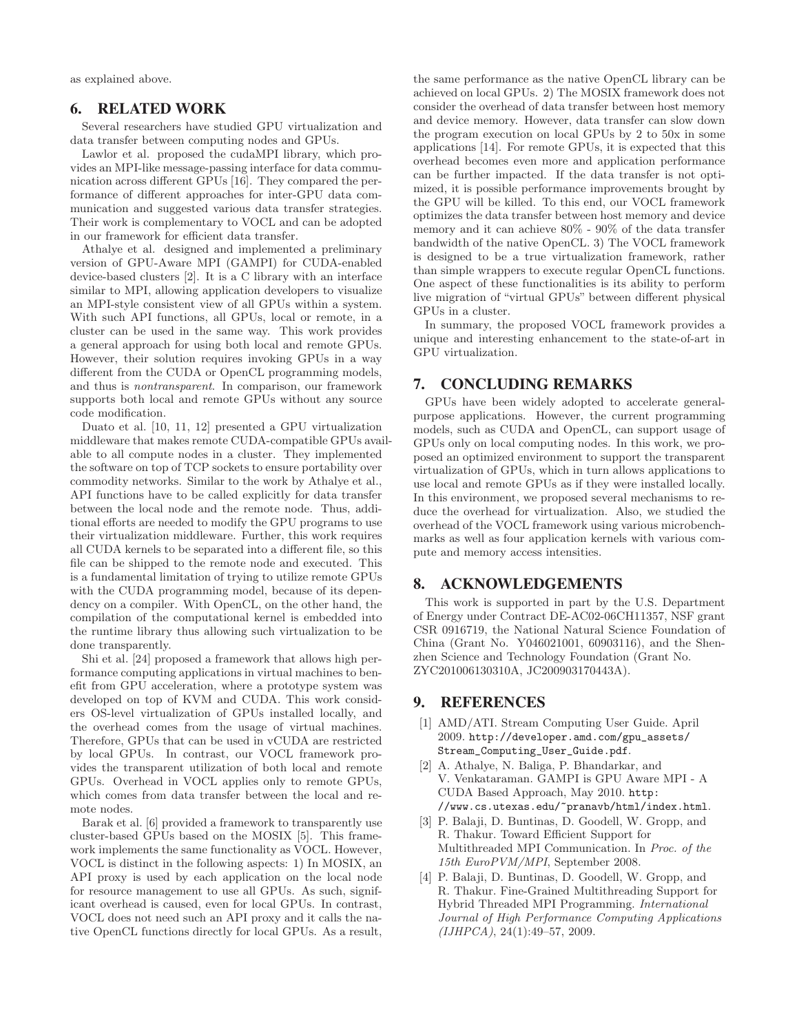as explained above.

# **6. RELATED WORK**

Several researchers have studied GPU virtualization and data transfer between computing nodes and GPUs.

Lawlor et al. proposed the cudaMPI library, which provides an MPI-like message-passing interface for data communication across different GPUs [16]. They compared the performance of different approaches for inter-GPU data communication and suggested various data transfer strategies. Their work is complementary to VOCL and can be adopted in our framework for efficient data transfer.

Athalye et al. designed and implemented a preliminary version of GPU-Aware MPI (GAMPI) for CUDA-enabled device-based clusters [2]. It is a C library with an interface similar to MPI, allowing application developers to visualize an MPI-style consistent view of all GPUs within a system. With such API functions, all GPUs, local or remote, in a cluster can be used in the same way. This work provides a general approach for using both local and remote GPUs. However, their solution requires invoking GPUs in a way different from the CUDA or OpenCL programming models, and thus is nontransparent. In comparison, our framework supports both local and remote GPUs without any source code modification.

Duato et al. [10, 11, 12] presented a GPU virtualization middleware that makes remote CUDA-compatible GPUs available to all compute nodes in a cluster. They implemented the software on top of TCP sockets to ensure portability over commodity networks. Similar to the work by Athalye et al., API functions have to be called explicitly for data transfer between the local node and the remote node. Thus, additional efforts are needed to modify the GPU programs to use their virtualization middleware. Further, this work requires all CUDA kernels to be separated into a different file, so this file can be shipped to the remote node and executed. This is a fundamental limitation of trying to utilize remote GPUs with the CUDA programming model, because of its dependency on a compiler. With OpenCL, on the other hand, the compilation of the computational kernel is embedded into the runtime library thus allowing such virtualization to be done transparently.

Shi et al. [24] proposed a framework that allows high performance computing applications in virtual machines to benefit from GPU acceleration, where a prototype system was developed on top of KVM and CUDA. This work considers OS-level virtualization of GPUs installed locally, and the overhead comes from the usage of virtual machines. Therefore, GPUs that can be used in vCUDA are restricted by local GPUs. In contrast, our VOCL framework provides the transparent utilization of both local and remote GPUs. Overhead in VOCL applies only to remote GPUs, which comes from data transfer between the local and remote nodes.

Barak et al. [6] provided a framework to transparently use cluster-based GPUs based on the MOSIX [5]. This framework implements the same functionality as VOCL. However, VOCL is distinct in the following aspects: 1) In MOSIX, an API proxy is used by each application on the local node for resource management to use all GPUs. As such, significant overhead is caused, even for local GPUs. In contrast, VOCL does not need such an API proxy and it calls the native OpenCL functions directly for local GPUs. As a result,

the same performance as the native OpenCL library can be achieved on local GPUs. 2) The MOSIX framework does not consider the overhead of data transfer between host memory and device memory. However, data transfer can slow down the program execution on local GPUs by 2 to 50x in some applications [14]. For remote GPUs, it is expected that this overhead becomes even more and application performance can be further impacted. If the data transfer is not optimized, it is possible performance improvements brought by the GPU will be killed. To this end, our VOCL framework optimizes the data transfer between host memory and device memory and it can achieve 80% - 90% of the data transfer bandwidth of the native OpenCL. 3) The VOCL framework is designed to be a true virtualization framework, rather than simple wrappers to execute regular OpenCL functions. One aspect of these functionalities is its ability to perform live migration of "virtual GPUs" between different physical GPUs in a cluster.

In summary, the proposed VOCL framework provides a unique and interesting enhancement to the state-of-art in GPU virtualization.

# **7. CONCLUDING REMARKS**

GPUs have been widely adopted to accelerate generalpurpose applications. However, the current programming models, such as CUDA and OpenCL, can support usage of GPUs only on local computing nodes. In this work, we proposed an optimized environment to support the transparent virtualization of GPUs, which in turn allows applications to use local and remote GPUs as if they were installed locally. In this environment, we proposed several mechanisms to reduce the overhead for virtualization. Also, we studied the overhead of the VOCL framework using various microbenchmarks as well as four application kernels with various compute and memory access intensities.

## **8. ACKNOWLEDGEMENTS**

This work is supported in part by the U.S. Department of Energy under Contract DE-AC02-06CH11357, NSF grant CSR 0916719, the National Natural Science Foundation of China (Grant No. Y046021001, 60903116), and the Shenzhen Science and Technology Foundation (Grant No. ZYC201006130310A, JC200903170443A).

# **9. REFERENCES**

- [1] AMD/ATI. Stream Computing User Guide. April 2009. http://developer.amd.com/gpu\_assets/ Stream\_Computing\_User\_Guide.pdf.
- [2] A. Athalye, N. Baliga, P. Bhandarkar, and V. Venkataraman. GAMPI is GPU Aware MPI - A CUDA Based Approach, May 2010. http: //www.cs.utexas.edu/~pranavb/html/index.html.
- [3] P. Balaji, D. Buntinas, D. Goodell, W. Gropp, and R. Thakur. Toward Efficient Support for Multithreaded MPI Communication. In Proc. of the 15th EuroPVM/MPI, September 2008.
- [4] P. Balaji, D. Buntinas, D. Goodell, W. Gropp, and R. Thakur. Fine-Grained Multithreading Support for Hybrid Threaded MPI Programming. International Journal of High Performance Computing Applications (IJHPCA), 24(1):49–57, 2009.